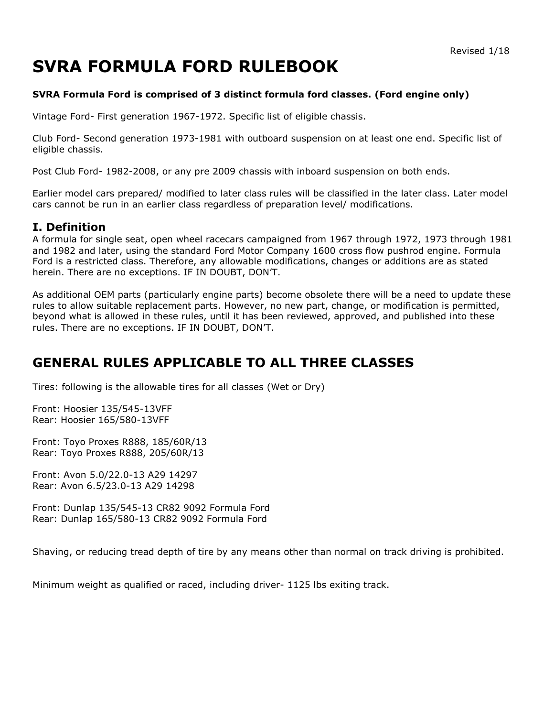# **SVRA FORMULA FORD RULEBOOK**

#### **SVRA Formula Ford is comprised of 3 distinct formula ford classes. (Ford engine only)**

Vintage Ford- First generation 1967-1972. Specific list of eligible chassis.

Club Ford- Second generation 1973-1981 with outboard suspension on at least one end. Specific list of eligible chassis.

Post Club Ford- 1982-2008, or any pre 2009 chassis with inboard suspension on both ends.

Earlier model cars prepared/ modified to later class rules will be classified in the later class. Later model cars cannot be run in an earlier class regardless of preparation level/ modifications.

### **I. Definition**

A formula for single seat, open wheel racecars campaigned from 1967 through 1972, 1973 through 1981 and 1982 and later, using the standard Ford Motor Company 1600 cross flow pushrod engine. Formula Ford is a restricted class. Therefore, any allowable modifications, changes or additions are as stated herein. There are no exceptions. IF IN DOUBT, DON'T.

As additional OEM parts (particularly engine parts) become obsolete there will be a need to update these rules to allow suitable replacement parts. However, no new part, change, or modification is permitted, beyond what is allowed in these rules, until it has been reviewed, approved, and published into these rules. There are no exceptions. IF IN DOUBT, DON'T.

# **GENERAL RULES APPLICABLE TO ALL THREE CLASSES**

Tires: following is the allowable tires for all classes (Wet or Dry)

Front: Hoosier 135/545-13VFF Rear: Hoosier 165/580-13VFF

Front: Toyo Proxes R888, 185/60R/13 Rear: Toyo Proxes R888, 205/60R/13

Front: Avon 5.0/22.0-13 A29 14297 Rear: Avon 6.5/23.0-13 A29 14298

Front: Dunlap 135/545-13 CR82 9092 Formula Ford Rear: Dunlap 165/580-13 CR82 9092 Formula Ford

Shaving, or reducing tread depth of tire by any means other than normal on track driving is prohibited.

Minimum weight as qualified or raced, including driver- 1125 lbs exiting track.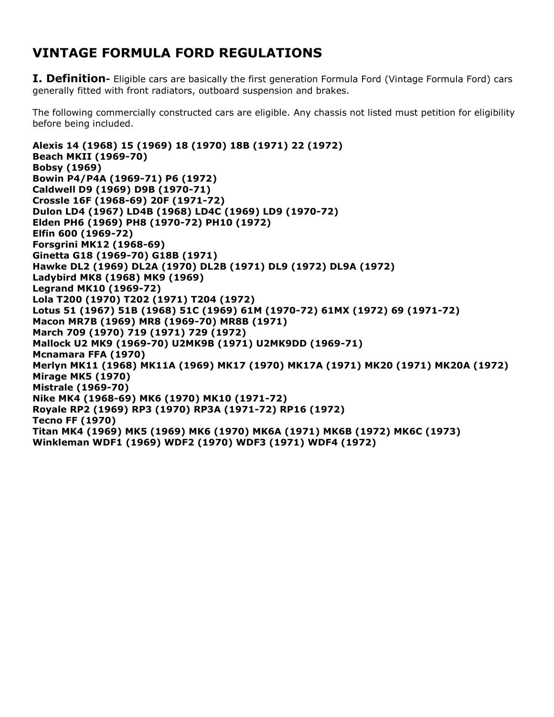# **VINTAGE FORMULA FORD REGULATIONS**

**I. Definition-** Eligible cars are basically the first generation Formula Ford (Vintage Formula Ford) cars generally fitted with front radiators, outboard suspension and brakes.

The following commercially constructed cars are eligible. Any chassis not listed must petition for eligibility before being included.

**Alexis 14 (1968) 15 (1969) 18 (1970) 18B (1971) 22 (1972) Beach MKII (1969-70) Bobsy (1969) Bowin P4/P4A (1969-71) P6 (1972) Caldwell D9 (1969) D9B (1970-71) Crossle 16F (1968-69) 20F (1971-72) Dulon LD4 (1967) LD4B (1968) LD4C (1969) LD9 (1970-72) Elden PH6 (1969) PH8 (1970-72) PH10 (1972) Elfin 600 (1969-72) Forsgrini MK12 (1968-69) Ginetta G18 (1969-70) G18B (1971) Hawke DL2 (1969) DL2A (1970) DL2B (1971) DL9 (1972) DL9A (1972) Ladybird MK8 (1968) MK9 (1969) Legrand MK10 (1969-72) Lola T200 (1970) T202 (1971) T204 (1972) Lotus 51 (1967) 51B (1968) 51C (1969) 61M (1970-72) 61MX (1972) 69 (1971-72) Macon MR7B (1969) MR8 (1969-70) MR8B (1971) March 709 (1970) 719 (1971) 729 (1972) Mallock U2 MK9 (1969-70) U2MK9B (1971) U2MK9DD (1969-71) Mcnamara FFA (1970) Merlyn MK11 (1968) MK11A (1969) MK17 (1970) MK17A (1971) MK20 (1971) MK20A (1972) Mirage MK5 (1970) Mistrale (1969-70) Nike MK4 (1968-69) MK6 (1970) MK10 (1971-72) Royale RP2 (1969) RP3 (1970) RP3A (1971-72) RP16 (1972) Tecno FF (1970) Titan MK4 (1969) MK5 (1969) MK6 (1970) MK6A (1971) MK6B (1972) MK6C (1973) Winkleman WDF1 (1969) WDF2 (1970) WDF3 (1971) WDF4 (1972)**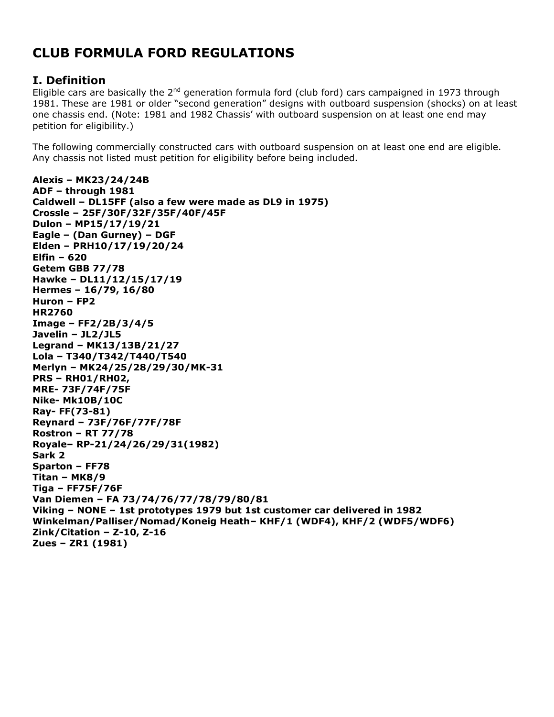# **CLUB FORMULA FORD REGULATIONS**

# **I. Definition**

Eligible cars are basically the  $2^{nd}$  generation formula ford (club ford) cars campaigned in 1973 through 1981. These are 1981 or older "second generation" designs with outboard suspension (shocks) on at least one chassis end. (Note: 1981 and 1982 Chassis' with outboard suspension on at least one end may petition for eligibility.)

The following commercially constructed cars with outboard suspension on at least one end are eligible. Any chassis not listed must petition for eligibility before being included.

```
Alexis – MK23/24/24B
ADF – through 1981
Caldwell – DL15FF (also a few were made as DL9 in 1975)
Crossle – 25F/30F/32F/35F/40F/45F 
Dulon – MP15/17/19/21
Eagle – (Dan Gurney) – DGF
Elden – PRH10/17/19/20/24
Elfin – 620
Getem GBB 77/78
Hawke – DL11/12/15/17/19 
Hermes – 16/79, 16/80
Huron – FP2
HR2760
Image – FF2/2B/3/4/5
Javelin – JL2/JL5
Legrand – MK13/13B/21/27
Lola – T340/T342/T440/T540
Merlyn – MK24/25/28/29/30/MK-31
PRS – RH01/RH02, 
MRE- 73F/74F/75F
Nike- Mk10B/10C
Ray- FF(73-81)
Reynard – 73F/76F/77F/78F
Rostron – RT 77/78
Royale– RP-21/24/26/29/31(1982)
Sark 2
Sparton – FF78
Titan – MK8/9
Tiga – FF75F/76F
Van Diemen – FA 73/74/76/77/78/79/80/81
Viking – NONE – 1st prototypes 1979 but 1st customer car delivered in 1982
Winkelman/Palliser/Nomad/Koneig Heath– KHF/1 (WDF4), KHF/2 (WDF5/WDF6)
Zink/Citation – Z-10, Z-16 
Zues – ZR1 (1981)
```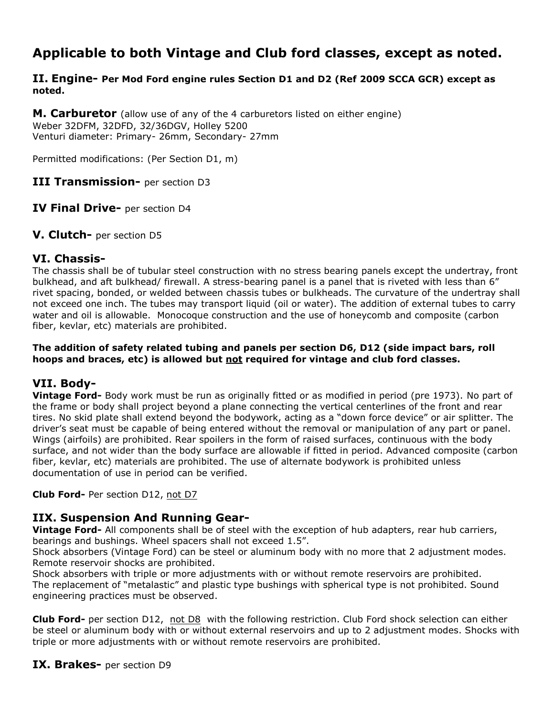# **Applicable to both Vintage and Club ford classes, except as noted.**

#### **II. Engine- Per Mod Ford engine rules Section D1 and D2 (Ref 2009 SCCA GCR) except as noted.**

**M. Carburetor** (allow use of any of the 4 carburetors listed on either engine) Weber 32DFM, 32DFD, 32/36DGV, Holley 5200 Venturi diameter: Primary- 26mm, Secondary- 27mm

Permitted modifications: (Per Section D1, m)

**III Transmission-** per section D3

**IV Final Drive-** per section D4

**V. Clutch-** per section D5

#### **VI. Chassis-**

The chassis shall be of tubular steel construction with no stress bearing panels except the undertray, front bulkhead, and aft bulkhead/ firewall. A stress-bearing panel is a panel that is riveted with less than 6" rivet spacing, bonded, or welded between chassis tubes or bulkheads. The curvature of the undertray shall not exceed one inch. The tubes may transport liquid (oil or water). The addition of external tubes to carry water and oil is allowable. Monocoque construction and the use of honeycomb and composite (carbon fiber, kevlar, etc) materials are prohibited.

#### **The addition of safety related tubing and panels per section D6, D12 (side impact bars, roll hoops and braces, etc) is allowed but not required for vintage and club ford classes.**

# **VII. Body-**

**Vintage Ford-** Body work must be run as originally fitted or as modified in period (pre 1973). No part of the frame or body shall project beyond a plane connecting the vertical centerlines of the front and rear tires. No skid plate shall extend beyond the bodywork, acting as a "down force device" or air splitter. The driver's seat must be capable of being entered without the removal or manipulation of any part or panel. Wings (airfoils) are prohibited. Rear spoilers in the form of raised surfaces, continuous with the body surface, and not wider than the body surface are allowable if fitted in period. Advanced composite (carbon fiber, kevlar, etc) materials are prohibited. The use of alternate bodywork is prohibited unless documentation of use in period can be verified.

**Club Ford-** Per section D12, not D7

# **IIX. Suspension And Running Gear-**

**Vintage Ford-** All components shall be of steel with the exception of hub adapters, rear hub carriers, bearings and bushings. Wheel spacers shall not exceed 1.5".

Shock absorbers (Vintage Ford) can be steel or aluminum body with no more that 2 adjustment modes. Remote reservoir shocks are prohibited.

Shock absorbers with triple or more adjustments with or without remote reservoirs are prohibited. The replacement of "metalastic" and plastic type bushings with spherical type is not prohibited. Sound engineering practices must be observed.

**Club Ford-** per section D12, not D8 with the following restriction. Club Ford shock selection can either be steel or aluminum body with or without external reservoirs and up to 2 adjustment modes. Shocks with triple or more adjustments with or without remote reservoirs are prohibited.

**IX. Brakes-** per section D9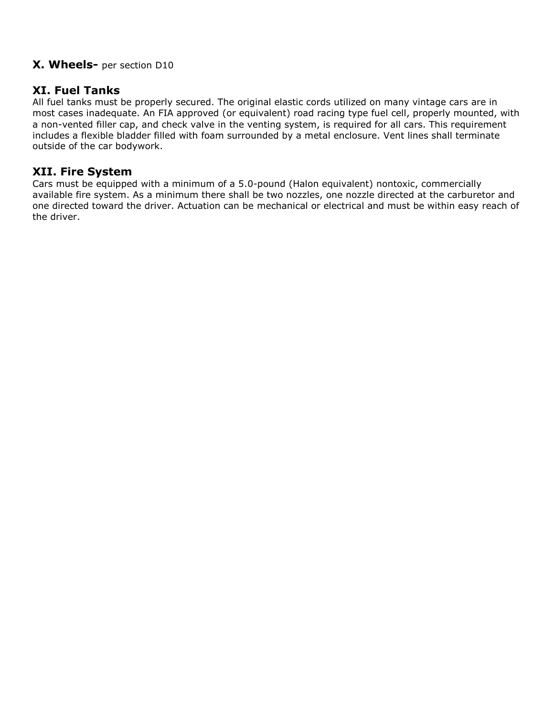# **X. Wheels-** per section D10

# **XI. Fuel Tanks**

All fuel tanks must be properly secured. The original elastic cords utilized on many vintage cars are in most cases inadequate. An FIA approved (or equivalent) road racing type fuel cell, properly mounted, with a non-vented filler cap, and check valve in the venting system, is required for all cars. This requirement includes a flexible bladder filled with foam surrounded by a metal enclosure. Vent lines shall terminate outside of the car bodywork.

# **XII. Fire System**

Cars must be equipped with a minimum of a 5.0-pound (Halon equivalent) nontoxic, commercially available fire system. As a minimum there shall be two nozzles, one nozzle directed at the carburetor and one directed toward the driver. Actuation can be mechanical or electrical and must be within easy reach of the driver.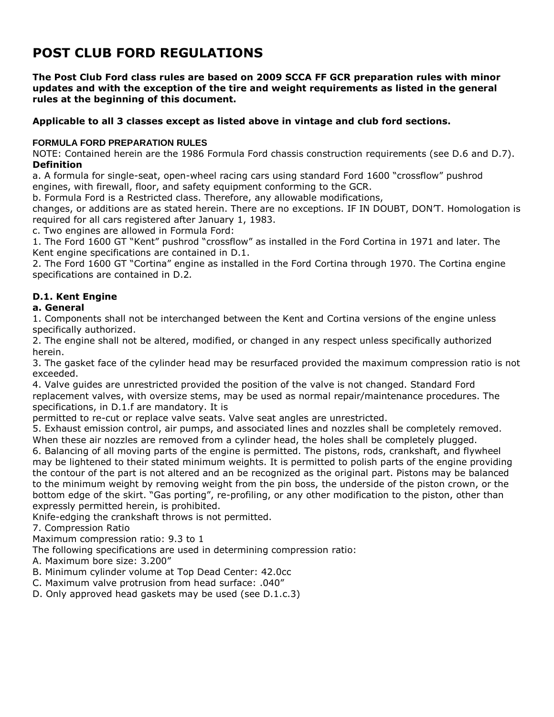# **POST CLUB FORD REGULATIONS**

**The Post Club Ford class rules are based on 2009 SCCA FF GCR preparation rules with minor updates and with the exception of the tire and weight requirements as listed in the general rules at the beginning of this document.**

#### **Applicable to all 3 classes except as listed above in vintage and club ford sections.**

#### **FORMULA FORD PREPARATION RULES**

NOTE: Contained herein are the 1986 Formula Ford chassis construction requirements (see D.6 and D.7). **Definition**

a. A formula for single-seat, open-wheel racing cars using standard Ford 1600 "crossflow" pushrod engines, with firewall, floor, and safety equipment conforming to the GCR.

b. Formula Ford is a Restricted class. Therefore, any allowable modifications,

changes, or additions are as stated herein. There are no exceptions. IF IN DOUBT, DON'T. Homologation is required for all cars registered after January 1, 1983.

c. Two engines are allowed in Formula Ford:

1. The Ford 1600 GT "Kent" pushrod "crossflow" as installed in the Ford Cortina in 1971 and later. The Kent engine specifications are contained in D.1.

2. The Ford 1600 GT "Cortina" engine as installed in the Ford Cortina through 1970. The Cortina engine specifications are contained in D.2*.*

### **D.1. Kent Engine**

#### **a. General**

1. Components shall not be interchanged between the Kent and Cortina versions of the engine unless specifically authorized.

2. The engine shall not be altered, modified, or changed in any respect unless specifically authorized herein.

3. The gasket face of the cylinder head may be resurfaced provided the maximum compression ratio is not exceeded.

4. Valve guides are unrestricted provided the position of the valve is not changed. Standard Ford replacement valves, with oversize stems, may be used as normal repair/maintenance procedures. The specifications, in D.1.f are mandatory. It is

permitted to re-cut or replace valve seats. Valve seat angles are unrestricted.

5. Exhaust emission control, air pumps, and associated lines and nozzles shall be completely removed. When these air nozzles are removed from a cylinder head, the holes shall be completely plugged.

6. Balancing of all moving parts of the engine is permitted. The pistons, rods, crankshaft, and flywheel may be lightened to their stated minimum weights. It is permitted to polish parts of the engine providing the contour of the part is not altered and an be recognized as the original part. Pistons may be balanced to the minimum weight by removing weight from the pin boss, the underside of the piston crown, or the bottom edge of the skirt. "Gas porting", re-profiling, or any other modification to the piston, other than expressly permitted herein, is prohibited.

Knife-edging the crankshaft throws is not permitted.

7. Compression Ratio

Maximum compression ratio: 9.3 to 1

The following specifications are used in determining compression ratio:

A. Maximum bore size: 3.200"

- B. Minimum cylinder volume at Top Dead Center: 42.0cc
- C. Maximum valve protrusion from head surface: .040"
- D. Only approved head gaskets may be used (see D.1.c.3)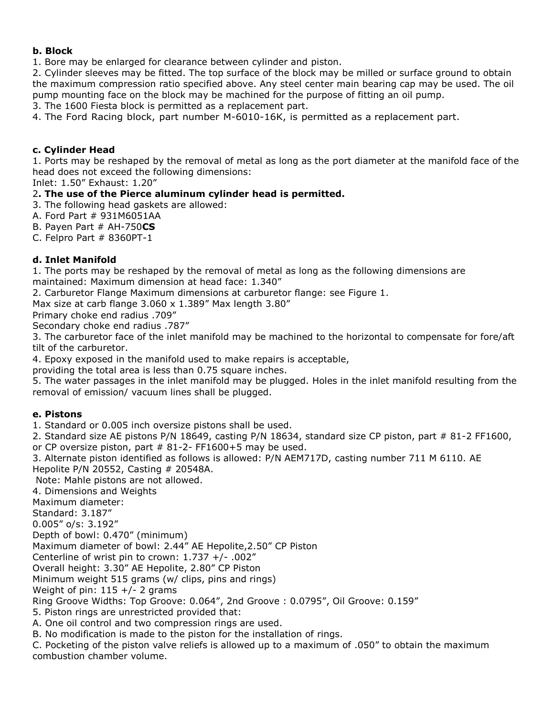#### **b. Block**

1. Bore may be enlarged for clearance between cylinder and piston.

2. Cylinder sleeves may be fitted. The top surface of the block may be milled or surface ground to obtain the maximum compression ratio specified above. Any steel center main bearing cap may be used. The oil pump mounting face on the block may be machined for the purpose of fitting an oil pump.

3. The 1600 Fiesta block is permitted as a replacement part.

4. The Ford Racing block, part number M-6010-16K, is permitted as a replacement part.

#### **c. Cylinder Head**

1. Ports may be reshaped by the removal of metal as long as the port diameter at the manifold face of the head does not exceed the following dimensions:

Inlet: 1.50" Exhaust: 1.20"

#### 2**. The use of the Pierce aluminum cylinder head is permitted.**

3. The following head gaskets are allowed:

A. Ford Part # 931M6051AA

B. Payen Part # AH-750**CS**

C. Felpro Part # 8360PT-1

#### **d. Inlet Manifold**

1. The ports may be reshaped by the removal of metal as long as the following dimensions are maintained: Maximum dimension at head face: 1.340"

2. Carburetor Flange Maximum dimensions at carburetor flange: see Figure 1.

Max size at carb flange 3.060 x 1.389" Max length 3.80"

Primary choke end radius .709"

Secondary choke end radius .787"

3. The carburetor face of the inlet manifold may be machined to the horizontal to compensate for fore/aft tilt of the carburetor.

4. Epoxy exposed in the manifold used to make repairs is acceptable,

providing the total area is less than 0.75 square inches.

5. The water passages in the inlet manifold may be plugged. Holes in the inlet manifold resulting from the removal of emission/ vacuum lines shall be plugged.

#### **e. Pistons**

1. Standard or 0.005 inch oversize pistons shall be used.

2. Standard size AE pistons P/N 18649, casting P/N 18634, standard size CP piston, part # 81-2 FF1600, or CP oversize piston, part  $#$  81-2- FF1600+5 may be used.

3. Alternate piston identified as follows is allowed: P/N AEM717D, casting number 711 M 6110. AE Hepolite P/N 20552, Casting # 20548A.

Note: Mahle pistons are not allowed.

4. Dimensions and Weights

Maximum diameter:

Standard: 3.187"

0.005" o/s: 3.192"

Depth of bowl: 0.470" (minimum)

Maximum diameter of bowl: 2.44" AE Hepolite,2.50" CP Piston

Centerline of wrist pin to crown: 1.737 +/- .002"

Overall height: 3.30" AE Hepolite, 2.80" CP Piston

Minimum weight 515 grams (w/ clips, pins and rings)

Weight of pin:  $115 +/- 2$  grams

Ring Groove Widths: Top Groove: 0.064", 2nd Groove : 0.0795", Oil Groove: 0.159"

5. Piston rings are unrestricted provided that:

A. One oil control and two compression rings are used.

B. No modification is made to the piston for the installation of rings.

C. Pocketing of the piston valve reliefs is allowed up to a maximum of .050" to obtain the maximum combustion chamber volume.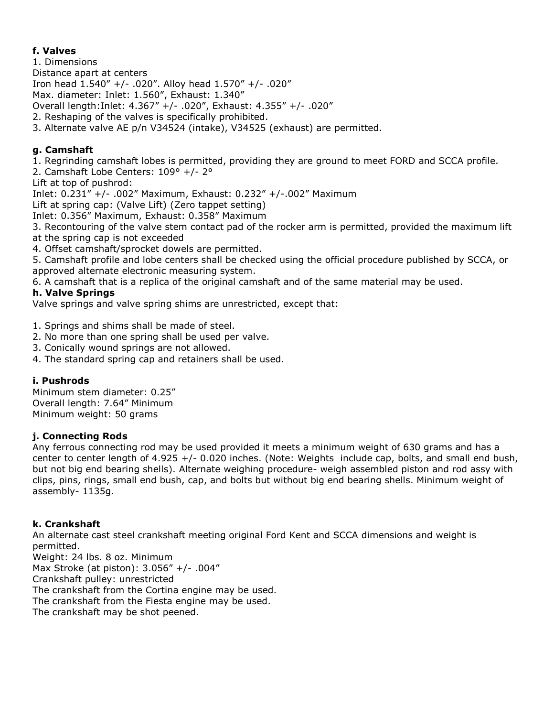### **f. Valves**

- 1. Dimensions
- Distance apart at centers

Iron head 1.540" +/- .020". Alloy head 1.570" +/- .020"

Max. diameter: Inlet: 1.560", Exhaust: 1.340"

Overall length:Inlet: 4.367" +/- .020", Exhaust: 4.355" +/- .020"

2. Reshaping of the valves is specifically prohibited.

3. Alternate valve AE p/n V34524 (intake), V34525 (exhaust) are permitted.

# **g. Camshaft**

1. Regrinding camshaft lobes is permitted, providing they are ground to meet FORD and SCCA profile.

2. Camshaft Lobe Centers: 109° +/- 2°

Lift at top of pushrod:

Inlet: 0.231" +/- .002" Maximum, Exhaust: 0.232" +/-.002" Maximum

Lift at spring cap: (Valve Lift) (Zero tappet setting)

Inlet: 0.356" Maximum, Exhaust: 0.358" Maximum

3. Recontouring of the valve stem contact pad of the rocker arm is permitted, provided the maximum lift at the spring cap is not exceeded

4. Offset camshaft/sprocket dowels are permitted.

5. Camshaft profile and lobe centers shall be checked using the official procedure published by SCCA, or approved alternate electronic measuring system.

6. A camshaft that is a replica of the original camshaft and of the same material may be used.

### **h. Valve Springs**

Valve springs and valve spring shims are unrestricted, except that:

1. Springs and shims shall be made of steel.

- 2. No more than one spring shall be used per valve.
- 3. Conically wound springs are not allowed.
- 4. The standard spring cap and retainers shall be used.

#### **i. Pushrods**

Minimum stem diameter: 0.25" Overall length: 7.64" Minimum Minimum weight: 50 grams

#### **j. Connecting Rods**

Any ferrous connecting rod may be used provided it meets a minimum weight of 630 grams and has a center to center length of 4.925  $+/-$  0.020 inches. (Note: Weights include cap, bolts, and small end bush, but not big end bearing shells). Alternate weighing procedure- weigh assembled piston and rod assy with clips, pins, rings, small end bush, cap, and bolts but without big end bearing shells. Minimum weight of assembly- 1135g.

#### **k. Crankshaft**

An alternate cast steel crankshaft meeting original Ford Kent and SCCA dimensions and weight is permitted. Weight: 24 lbs. 8 oz. Minimum Max Stroke (at piston): 3.056" +/- .004" Crankshaft pulley: unrestricted The crankshaft from the Cortina engine may be used. The crankshaft from the Fiesta engine may be used. The crankshaft may be shot peened.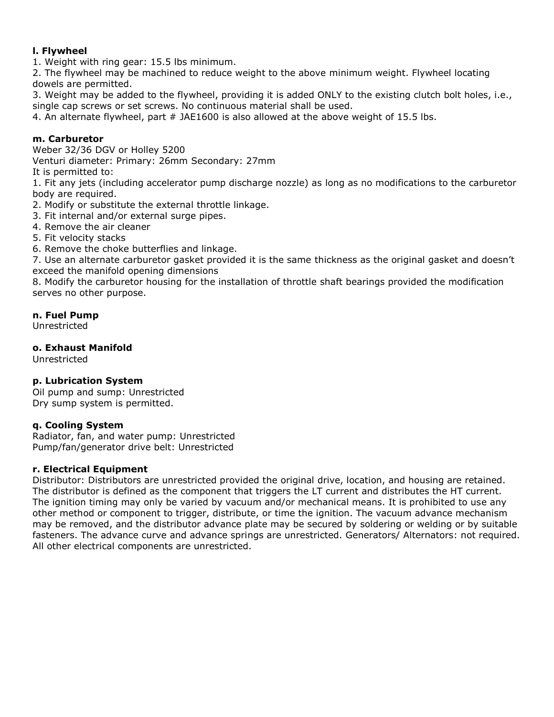#### **l. Flywheel**

1. Weight with ring gear: 15.5 lbs minimum.

2. The flywheel may be machined to reduce weight to the above minimum weight. Flywheel locating dowels are permitted.

3. Weight may be added to the flywheel, providing it is added ONLY to the existing clutch bolt holes, i.e., single cap screws or set screws. No continuous material shall be used.

4. An alternate flywheel, part # JAE1600 is also allowed at the above weight of 15.5 lbs.

#### **m. Carburetor**

Weber 32/36 DGV or Holley 5200

Venturi diameter: Primary: 26mm Secondary: 27mm

It is permitted to:

1. Fit any jets (including accelerator pump discharge nozzle) as long as no modifications to the carburetor body are required.

2. Modify or substitute the external throttle linkage.

3. Fit internal and/or external surge pipes.

4. Remove the air cleaner

5. Fit velocity stacks

6. Remove the choke butterflies and linkage.

7. Use an alternate carburetor gasket provided it is the same thickness as the original gasket and doesn't exceed the manifold opening dimensions

8. Modify the carburetor housing for the installation of throttle shaft bearings provided the modification serves no other purpose.

**n. Fuel Pump**

Unrestricted

#### **o. Exhaust Manifold**

Unrestricted

#### **p. Lubrication System**

Oil pump and sump: Unrestricted Dry sump system is permitted.

#### **q. Cooling System**

Radiator, fan, and water pump: Unrestricted Pump/fan/generator drive belt: Unrestricted

#### **r. Electrical Equipment**

Distributor: Distributors are unrestricted provided the original drive, location, and housing are retained. The distributor is defined as the component that triggers the LT current and distributes the HT current. The ignition timing may only be varied by vacuum and/or mechanical means. It is prohibited to use any other method or component to trigger, distribute, or time the ignition. The vacuum advance mechanism may be removed, and the distributor advance plate may be secured by soldering or welding or by suitable fasteners. The advance curve and advance springs are unrestricted. Generators/ Alternators: not required. All other electrical components are unrestricted.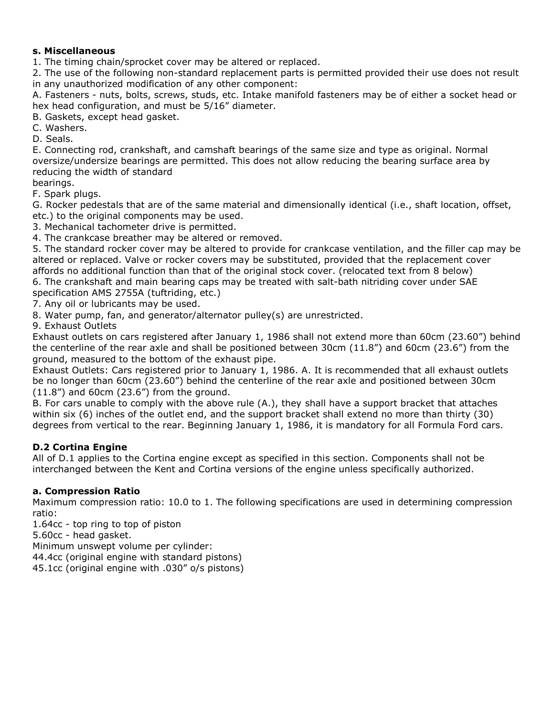#### **s. Miscellaneous**

1. The timing chain/sprocket cover may be altered or replaced.

2. The use of the following non-standard replacement parts is permitted provided their use does not result in any unauthorized modification of any other component:

A. Fasteners - nuts, bolts, screws, studs, etc. Intake manifold fasteners may be of either a socket head or hex head configuration, and must be 5/16" diameter.

B. Gaskets, except head gasket.

C. Washers.

D. Seals.

E. Connecting rod, crankshaft, and camshaft bearings of the same size and type as original. Normal oversize/undersize bearings are permitted. This does not allow reducing the bearing surface area by reducing the width of standard

bearings.

F. Spark plugs.

G. Rocker pedestals that are of the same material and dimensionally identical (i.e., shaft location, offset, etc.) to the original components may be used.

3. Mechanical tachometer drive is permitted.

4. The crankcase breather may be altered or removed.

5. The standard rocker cover may be altered to provide for crankcase ventilation, and the filler cap may be altered or replaced. Valve or rocker covers may be substituted, provided that the replacement cover affords no additional function than that of the original stock cover. (relocated text from 8 below) 6. The crankshaft and main bearing caps may be treated with salt-bath nitriding cover under SAE specification AMS 2755A (tuftriding, etc.)

7. Any oil or lubricants may be used.

8. Water pump, fan, and generator/alternator pulley(s) are unrestricted.

9. Exhaust Outlets

Exhaust outlets on cars registered after January 1, 1986 shall not extend more than 60cm (23.60") behind the centerline of the rear axle and shall be positioned between 30cm (11.8") and 60cm (23.6") from the ground, measured to the bottom of the exhaust pipe.

Exhaust Outlets: Cars registered prior to January 1, 1986. A. It is recommended that all exhaust outlets be no longer than 60cm (23.60") behind the centerline of the rear axle and positioned between 30cm  $(11.8")$  and 60cm  $(23.6")$  from the ground.

B. For cars unable to comply with the above rule (A.), they shall have a support bracket that attaches within six (6) inches of the outlet end, and the support bracket shall extend no more than thirty (30) degrees from vertical to the rear. Beginning January 1, 1986, it is mandatory for all Formula Ford cars.

#### **D.2 Cortina Engine**

All of D.1 applies to the Cortina engine except as specified in this section. Components shall not be interchanged between the Kent and Cortina versions of the engine unless specifically authorized.

#### **a. Compression Ratio**

Maximum compression ratio: 10.0 to 1. The following specifications are used in determining compression ratio:

1.64cc - top ring to top of piston 5.60cc - head gasket. Minimum unswept volume per cylinder: 44.4cc (original engine with standard pistons)

45.1cc (original engine with .030" o/s pistons)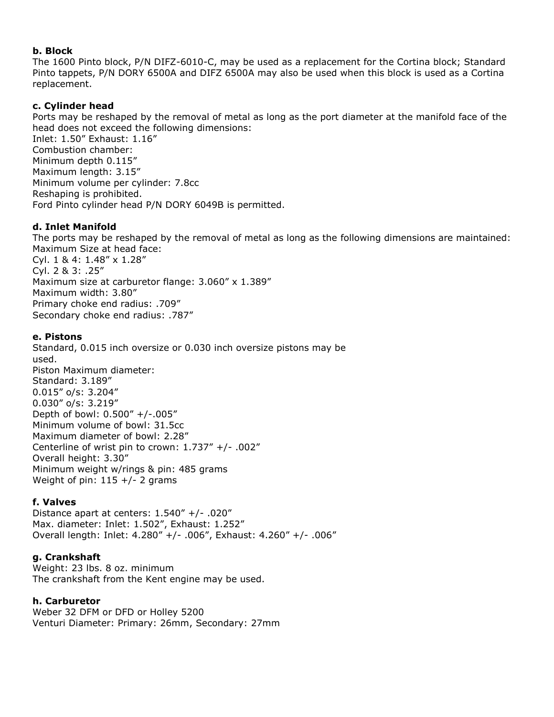#### **b. Block**

The 1600 Pinto block, P/N DIFZ-6010-C, may be used as a replacement for the Cortina block; Standard Pinto tappets, P/N DORY 6500A and DIFZ 6500A may also be used when this block is used as a Cortina replacement.

#### **c. Cylinder head**

Ports may be reshaped by the removal of metal as long as the port diameter at the manifold face of the head does not exceed the following dimensions:

Inlet: 1.50" Exhaust: 1.16" Combustion chamber: Minimum depth 0.115" Maximum length: 3.15" Minimum volume per cylinder: 7.8cc Reshaping is prohibited. Ford Pinto cylinder head P/N DORY 6049B is permitted.

#### **d. Inlet Manifold**

The ports may be reshaped by the removal of metal as long as the following dimensions are maintained: Maximum Size at head face: Cyl. 1 & 4: 1.48" x 1.28" Cyl. 2 & 3: .25" Maximum size at carburetor flange: 3.060" x 1.389" Maximum width: 3.80" Primary choke end radius: .709" Secondary choke end radius: .787"

#### **e. Pistons**

Standard, 0.015 inch oversize or 0.030 inch oversize pistons may be used. Piston Maximum diameter: Standard: 3.189" 0.015" o/s: 3.204" 0.030" o/s: 3.219" Depth of bowl: 0.500" +/-.005" Minimum volume of bowl: 31.5cc Maximum diameter of bowl: 2.28" Centerline of wrist pin to crown: 1.737" +/- .002" Overall height: 3.30" Minimum weight w/rings & pin: 485 grams Weight of pin:  $115 +/- 2$  grams

#### **f. Valves**

Distance apart at centers:  $1.540''$  +/- .020" Max. diameter: Inlet: 1.502", Exhaust: 1.252" Overall length: Inlet: 4.280" +/- .006", Exhaust: 4.260" +/- .006"

#### **g. Crankshaft**

Weight: 23 lbs. 8 oz. minimum The crankshaft from the Kent engine may be used.

#### **h. Carburetor**

Weber 32 DFM or DFD or Holley 5200 Venturi Diameter: Primary: 26mm, Secondary: 27mm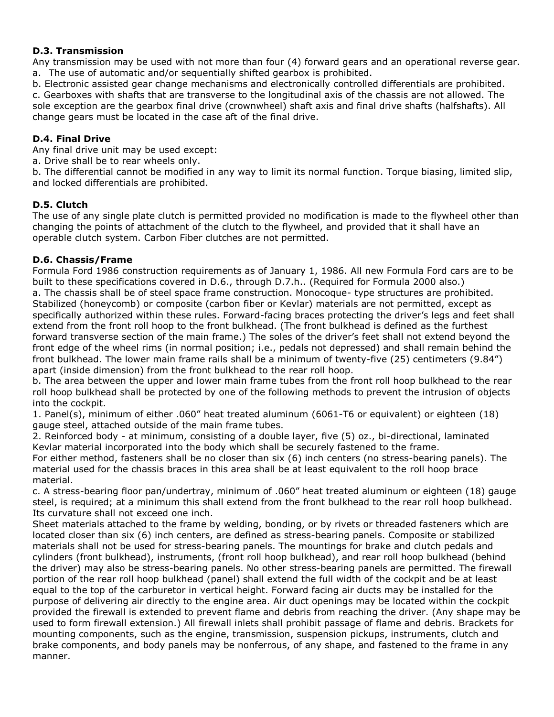#### **D.3. Transmission**

Any transmission may be used with not more than four (4) forward gears and an operational reverse gear. a. The use of automatic and/or sequentially shifted gearbox is prohibited.

b. Electronic assisted gear change mechanisms and electronically controlled differentials are prohibited.

c. Gearboxes with shafts that are transverse to the longitudinal axis of the chassis are not allowed. The sole exception are the gearbox final drive (crownwheel) shaft axis and final drive shafts (halfshafts). All change gears must be located in the case aft of the final drive.

#### **D.4. Final Drive**

Any final drive unit may be used except:

a. Drive shall be to rear wheels only.

b. The differential cannot be modified in any way to limit its normal function. Torque biasing, limited slip, and locked differentials are prohibited.

#### **D.5. Clutch**

The use of any single plate clutch is permitted provided no modification is made to the flywheel other than changing the points of attachment of the clutch to the flywheel, and provided that it shall have an operable clutch system. Carbon Fiber clutches are not permitted.

#### **D.6. Chassis/Frame**

Formula Ford 1986 construction requirements as of January 1, 1986. All new Formula Ford cars are to be built to these specifications covered in D.6., through D.7.h.. (Required for Formula 2000 also.) a. The chassis shall be of steel space frame construction. Monocoque- type structures are prohibited. Stabilized (honeycomb) or composite (carbon fiber or Kevlar) materials are not permitted, except as specifically authorized within these rules. Forward-facing braces protecting the driver's legs and feet shall extend from the front roll hoop to the front bulkhead. (The front bulkhead is defined as the furthest forward transverse section of the main frame.) The soles of the driver's feet shall not extend beyond the front edge of the wheel rims (in normal position; i.e., pedals not depressed) and shall remain behind the front bulkhead. The lower main frame rails shall be a minimum of twenty-five (25) centimeters (9.84") apart (inside dimension) from the front bulkhead to the rear roll hoop.

b. The area between the upper and lower main frame tubes from the front roll hoop bulkhead to the rear roll hoop bulkhead shall be protected by one of the following methods to prevent the intrusion of objects into the cockpit.

1. Panel(s), minimum of either .060" heat treated aluminum (6061-T6 or equivalent) or eighteen (18) gauge steel, attached outside of the main frame tubes.

2. Reinforced body - at minimum, consisting of a double layer, five (5) oz., bi-directional, laminated Kevlar material incorporated into the body which shall be securely fastened to the frame.

For either method, fasteners shall be no closer than six (6) inch centers (no stress-bearing panels). The material used for the chassis braces in this area shall be at least equivalent to the roll hoop brace material.

c. A stress-bearing floor pan/undertray, minimum of .060" heat treated aluminum or eighteen (18) gauge steel, is required; at a minimum this shall extend from the front bulkhead to the rear roll hoop bulkhead. Its curvature shall not exceed one inch.

Sheet materials attached to the frame by welding, bonding, or by rivets or threaded fasteners which are located closer than six (6) inch centers, are defined as stress-bearing panels. Composite or stabilized materials shall not be used for stress-bearing panels. The mountings for brake and clutch pedals and cylinders (front bulkhead), instruments, (front roll hoop bulkhead), and rear roll hoop bulkhead (behind the driver) may also be stress-bearing panels. No other stress-bearing panels are permitted. The firewall portion of the rear roll hoop bulkhead (panel) shall extend the full width of the cockpit and be at least equal to the top of the carburetor in vertical height. Forward facing air ducts may be installed for the purpose of delivering air directly to the engine area. Air duct openings may be located within the cockpit provided the firewall is extended to prevent flame and debris from reaching the driver. (Any shape may be used to form firewall extension.) All firewall inlets shall prohibit passage of flame and debris. Brackets for mounting components, such as the engine, transmission, suspension pickups, instruments, clutch and brake components, and body panels may be nonferrous, of any shape, and fastened to the frame in any manner.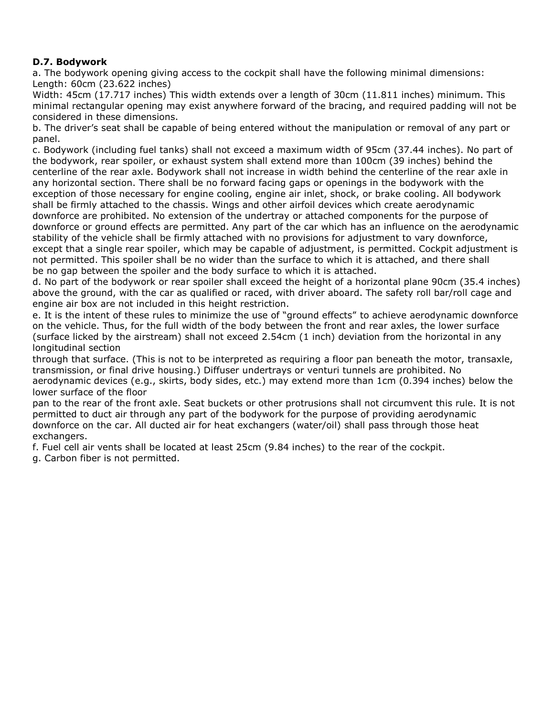# **D.7. Bodywork**

a. The bodywork opening giving access to the cockpit shall have the following minimal dimensions: Length: 60cm (23.622 inches)

Width: 45cm (17.717 inches) This width extends over a length of 30cm (11.811 inches) minimum. This minimal rectangular opening may exist anywhere forward of the bracing, and required padding will not be considered in these dimensions.

b. The driver's seat shall be capable of being entered without the manipulation or removal of any part or panel.

c. Bodywork (including fuel tanks) shall not exceed a maximum width of 95cm (37.44 inches). No part of the bodywork, rear spoiler, or exhaust system shall extend more than 100cm (39 inches) behind the centerline of the rear axle. Bodywork shall not increase in width behind the centerline of the rear axle in any horizontal section. There shall be no forward facing gaps or openings in the bodywork with the exception of those necessary for engine cooling, engine air inlet, shock, or brake cooling. All bodywork shall be firmly attached to the chassis. Wings and other airfoil devices which create aerodynamic downforce are prohibited. No extension of the undertray or attached components for the purpose of downforce or ground effects are permitted. Any part of the car which has an influence on the aerodynamic stability of the vehicle shall be firmly attached with no provisions for adjustment to vary downforce, except that a single rear spoiler, which may be capable of adjustment, is permitted. Cockpit adjustment is not permitted. This spoiler shall be no wider than the surface to which it is attached, and there shall be no gap between the spoiler and the body surface to which it is attached.

d. No part of the bodywork or rear spoiler shall exceed the height of a horizontal plane 90cm (35.4 inches) above the ground, with the car as qualified or raced, with driver aboard. The safety roll bar/roll cage and engine air box are not included in this height restriction.

e. It is the intent of these rules to minimize the use of "ground effects" to achieve aerodynamic downforce on the vehicle. Thus, for the full width of the body between the front and rear axles, the lower surface (surface licked by the airstream) shall not exceed 2.54cm (1 inch) deviation from the horizontal in any longitudinal section

through that surface. (This is not to be interpreted as requiring a floor pan beneath the motor, transaxle, transmission, or final drive housing.) Diffuser undertrays or venturi tunnels are prohibited. No aerodynamic devices (e.g., skirts, body sides, etc.) may extend more than 1cm (0.394 inches) below the lower surface of the floor

pan to the rear of the front axle. Seat buckets or other protrusions shall not circumvent this rule. It is not permitted to duct air through any part of the bodywork for the purpose of providing aerodynamic downforce on the car. All ducted air for heat exchangers (water/oil) shall pass through those heat exchangers.

f. Fuel cell air vents shall be located at least 25cm (9.84 inches) to the rear of the cockpit. g. Carbon fiber is not permitted.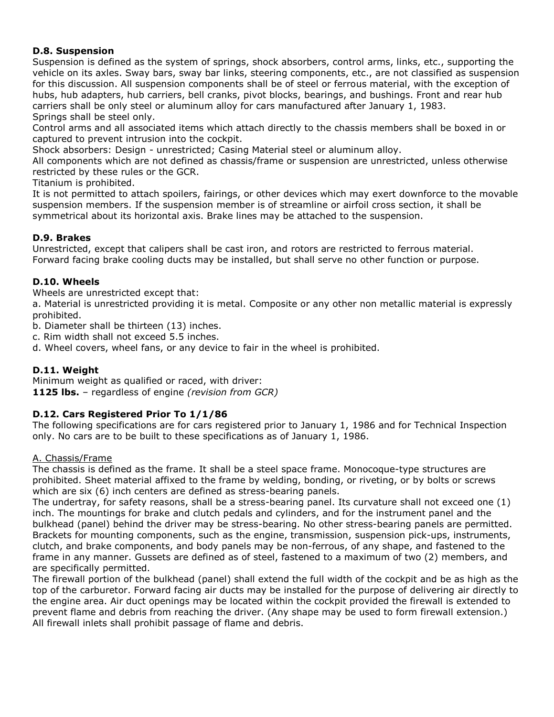#### **D.8. Suspension**

Suspension is defined as the system of springs, shock absorbers, control arms, links, etc., supporting the vehicle on its axles. Sway bars, sway bar links, steering components, etc., are not classified as suspension for this discussion. All suspension components shall be of steel or ferrous material, with the exception of hubs, hub adapters, hub carriers, bell cranks, pivot blocks, bearings, and bushings. Front and rear hub carriers shall be only steel or aluminum alloy for cars manufactured after January 1, 1983. Springs shall be steel only.

Control arms and all associated items which attach directly to the chassis members shall be boxed in or captured to prevent intrusion into the cockpit.

Shock absorbers: Design - unrestricted; Casing Material steel or aluminum alloy.

All components which are not defined as chassis/frame or suspension are unrestricted, unless otherwise restricted by these rules or the GCR.

Titanium is prohibited.

It is not permitted to attach spoilers, fairings, or other devices which may exert downforce to the movable suspension members. If the suspension member is of streamline or airfoil cross section, it shall be symmetrical about its horizontal axis. Brake lines may be attached to the suspension.

#### **D.9. Brakes**

Unrestricted, except that calipers shall be cast iron, and rotors are restricted to ferrous material. Forward facing brake cooling ducts may be installed, but shall serve no other function or purpose.

#### **D.10. Wheels**

Wheels are unrestricted except that:

a. Material is unrestricted providing it is metal. Composite or any other non metallic material is expressly prohibited.

b. Diameter shall be thirteen (13) inches.

c. Rim width shall not exceed 5.5 inches.

d. Wheel covers, wheel fans, or any device to fair in the wheel is prohibited.

#### **D.11. Weight**

Minimum weight as qualified or raced, with driver: **1125 lbs.** – regardless of engine *(revision from GCR)*

#### **D.12. Cars Registered Prior To 1/1/86**

The following specifications are for cars registered prior to January 1, 1986 and for Technical Inspection only. No cars are to be built to these specifications as of January 1, 1986.

#### A. Chassis/Frame

The chassis is defined as the frame. It shall be a steel space frame. Monocoque-type structures are prohibited. Sheet material affixed to the frame by welding, bonding, or riveting, or by bolts or screws which are six (6) inch centers are defined as stress-bearing panels.

The undertray, for safety reasons, shall be a stress-bearing panel. Its curvature shall not exceed one (1) inch. The mountings for brake and clutch pedals and cylinders, and for the instrument panel and the bulkhead (panel) behind the driver may be stress-bearing. No other stress-bearing panels are permitted. Brackets for mounting components, such as the engine, transmission, suspension pick-ups, instruments, clutch, and brake components, and body panels may be non-ferrous, of any shape, and fastened to the frame in any manner. Gussets are defined as of steel, fastened to a maximum of two (2) members, and are specifically permitted.

The firewall portion of the bulkhead (panel) shall extend the full width of the cockpit and be as high as the top of the carburetor. Forward facing air ducts may be installed for the purpose of delivering air directly to the engine area. Air duct openings may be located within the cockpit provided the firewall is extended to prevent flame and debris from reaching the driver. (Any shape may be used to form firewall extension.) All firewall inlets shall prohibit passage of flame and debris.